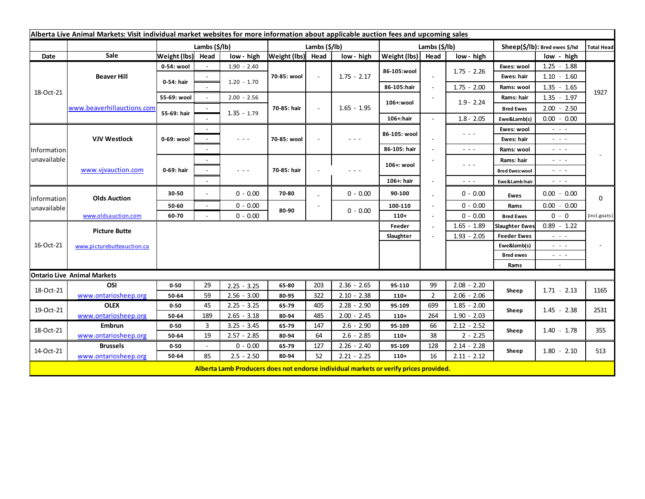| Alberta Live Animal Markets: Visit individual market websites for more information about applicable auction fees and upcoming sales |                                                    |              |               |                      |                   |        |                                                                                       |               |                          |                      |                               |                                |                   |
|-------------------------------------------------------------------------------------------------------------------------------------|----------------------------------------------------|--------------|---------------|----------------------|-------------------|--------|---------------------------------------------------------------------------------------|---------------|--------------------------|----------------------|-------------------------------|--------------------------------|-------------------|
|                                                                                                                                     |                                                    |              | Lambs (\$/lb) |                      | Lambs (\$/lb)     |        |                                                                                       | Lambs (\$/lb) |                          |                      | Sheep(\$/lb): Bred ewes \$/hd |                                | <b>Total Head</b> |
| Date                                                                                                                                | Sale                                               | Weight (lbs) | Head          | low - high           | Weight (lbs) Head |        | low - high                                                                            | Weight (lbs)  | Head                     | low - high           |                               | low - high                     |                   |
| 18-Oct-21                                                                                                                           | <b>Beaver Hill</b>                                 | 0-54: wool   |               | $1.90 - 2.40$        | 70-85: wool       | $\sim$ | $1.75 - 2.17$                                                                         | 86-105:wool   |                          |                      | Ewes: wool                    | $1.25 - 1.88$                  |                   |
|                                                                                                                                     |                                                    | 0-54: hair   |               | $1.20 - 1.70$        |                   |        |                                                                                       |               |                          | $1.75 - 2.26$        | Ewes: hair                    | $1.10 - 1.60$                  |                   |
|                                                                                                                                     |                                                    |              |               |                      |                   |        |                                                                                       | 86-105:hair   | $\overline{\phantom{a}}$ | $1.75 - 2.00$        | Rams: wool                    | $1.35 - 1.65$                  |                   |
|                                                                                                                                     | www.beaverhillauctions.com                         | 55-69: wool  |               | $2.00 - 2.56$        | 70-85: hair       |        | $1.65 - 1.95$                                                                         | 106+:wool     |                          | $1.9 - 2.24$         | Rams: hair                    | $1.35 - 1.97$                  | 1927              |
|                                                                                                                                     |                                                    | 55-69: hair  |               |                      |                   |        |                                                                                       |               |                          |                      | <b>Bred Ewes</b>              | $2.00 - 2.50$                  |                   |
|                                                                                                                                     |                                                    |              |               | $1.35 - 1.79$        |                   |        |                                                                                       | 106+:hair     |                          | $1.8 - 2.05$         | Ewe&Lamb(s)                   | $0.00 - 0.00$                  |                   |
| Information<br>unavailable                                                                                                          | <b>VJV Westlock</b>                                | 0-69: wool   |               |                      | 70-85: wool       |        | $  -$                                                                                 | 86-105: wool  |                          | $\sim$ $\sim$ $\sim$ | Ewes: wool                    | $\sim$ $\sim$ $\sim$           |                   |
|                                                                                                                                     |                                                    |              |               | $\sim$ $\sim$ $\sim$ |                   |        |                                                                                       |               |                          |                      | Ewes: hair                    | - - -                          |                   |
|                                                                                                                                     |                                                    |              |               |                      |                   |        |                                                                                       | 86-105: hair  |                          | $\sim$ $\sim$ $\sim$ | Rams: wool                    | $\sim$ 100 $\pm$               |                   |
|                                                                                                                                     | www.vjvauction.com                                 | 0-69: hair   |               |                      | 70-85: hair       | ٠      |                                                                                       | 106+: wool    |                          | $  -$                | Rams: hair                    | $ -$                           |                   |
|                                                                                                                                     |                                                    |              |               | - - -                |                   |        |                                                                                       |               |                          |                      | <b>Bred Ewes:wool</b>         | - - -                          |                   |
|                                                                                                                                     |                                                    |              |               |                      |                   |        |                                                                                       | 106+: hair    |                          | $\sim$ $\sim$ $\sim$ | Ewe&Lamb:hair                 | - - -                          |                   |
| information<br>unavailable                                                                                                          | <b>Olds Auction</b>                                | 30-50        |               | $0 - 0.00$           | 70-80             |        | $0 - 0.00$                                                                            | 90-100        |                          | $0 - 0.00$           | <b>Ewes</b>                   | $0.00 - 0.00$                  | 0                 |
|                                                                                                                                     |                                                    | 50-60        | $\sim$        | $0 - 0.00$           |                   |        |                                                                                       | 100-110       |                          | $0 - 0.00$           | Rams                          | $0.00 - 0.00$                  |                   |
|                                                                                                                                     | www.oldsauction.com                                | 60-70        |               | $0 - 0.00$           | 80-90             |        | $0 - 0.00$                                                                            | $110+$        |                          | $0 - 0.00$           | <b>Bred Ewes</b>              | $0 - 0$                        | (incl.goats)      |
| 16-Oct-21                                                                                                                           | <b>Picture Butte</b><br>www.picturebutteauction.ca |              |               |                      |                   |        |                                                                                       | Feeder        |                          | $1.65 - 1.89$        | <b>Slaughter Ewes</b>         | $0.89 - 1.22$                  |                   |
|                                                                                                                                     |                                                    | Slaughter    |               |                      |                   |        |                                                                                       |               |                          | $1.93 - 2.05$        | <b>Feeder Ewes</b>            | - - -                          |                   |
|                                                                                                                                     |                                                    |              |               |                      |                   |        |                                                                                       |               |                          |                      | Ewe&lamb(s)                   | $  -$                          |                   |
|                                                                                                                                     |                                                    |              |               |                      |                   |        |                                                                                       |               |                          |                      | <b>Bred ewes</b>              | $ -$                           |                   |
|                                                                                                                                     |                                                    |              |               |                      |                   |        |                                                                                       |               |                          |                      | Rams                          | $\sim$                         |                   |
| <b>Ontario Live Animal Markets</b>                                                                                                  |                                                    |              |               |                      |                   |        |                                                                                       |               |                          |                      |                               |                                |                   |
| 18-Oct-21                                                                                                                           | OSI                                                | $0 - 50$     | 29            | $2.25 - 3.25$        | 65-80             | 203    | $2.36 - 2.65$                                                                         | 95-110        | 99                       | $2.08 - 2.20$        | Sheep                         | $1.71 - 2.13$                  | 1165              |
|                                                                                                                                     | www.ontariosheep.org                               | 50-64        | 59            | $2.56 - 3.00$        | 80-95             | 322    | $2.10 - 2.38$                                                                         | $110+$        | $\overline{2}$           | $2.06 - 2.06$        |                               |                                |                   |
| 19-Oct-21                                                                                                                           | <b>OLEX</b>                                        | $0 - 50$     | 45            | $2.25 - 3.25$        | 65-79             | 405    | $2.28 - 2.90$                                                                         | 95-109        | 699                      | $1.85 - 2.00$        | Sheep                         | $1.45 - 2.38$                  | 2531              |
|                                                                                                                                     | www.ontariosheep.org                               | 50-64        | 189           | $2.65 - 3.18$        | 80-94             | 485    | $2.00 - 2.45$                                                                         | $110+$        | 264                      | $1.90 - 2.03$        |                               |                                |                   |
| 18-Oct-21<br>14-Oct-21                                                                                                              | <b>Embrun</b>                                      | $0 - 50$     | 3             | $3.25 - 3.45$        | 65-79             | 147    | $2.6 - 2.90$                                                                          | 95-109        | 66                       | $2.12 - 2.52$        | Sheep                         | $1.40 - 1.78$<br>$1.80 - 2.10$ | 355<br>513        |
|                                                                                                                                     | www.ontariosheep.org                               | 50-64        | 19            | $2.57 - 2.85$        | 80-94             | 64     | $2.6 - 2.85$                                                                          | $110+$        | 38                       | $2 - 2.25$           |                               |                                |                   |
|                                                                                                                                     | <b>Brussels</b>                                    | $0 - 50$     |               | $0 - 0.00$           | 65-79             | 127    | $2.26 - 2.40$                                                                         | 95-109        | 128                      | $2.14 - 2.28$        | Sheep                         |                                |                   |
|                                                                                                                                     | www.ontariosheep.org                               | 50-64        | 85            | $2.5 - 2.50$         | 80-94             | 52     | $2.21 - 2.25$                                                                         | $110+$        | 16                       | $2.11 - 2.12$        |                               |                                |                   |
|                                                                                                                                     |                                                    |              |               |                      |                   |        | Alberta Lamb Producers does not endorse individual markets or verify prices provided. |               |                          |                      |                               |                                |                   |